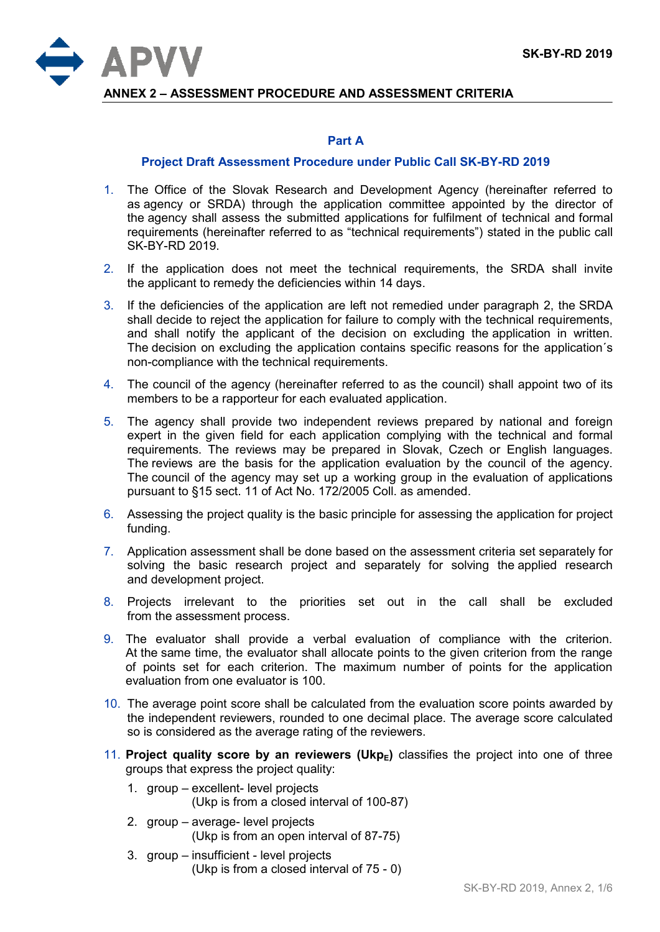

**ANNEX 2 – ASSESSMENT PROCEDURE AND ASSESSMENT CRITERIA**

## **Part A**

## **Project Draft Assessment Procedure under Public Call SK-BY-RD 2019**

- 1. The Office of the Slovak Research and Development Agency (hereinafter referred to as agency or SRDA) through the application committee appointed by the director of the agency shall assess the submitted applications for fulfilment of technical and formal requirements (hereinafter referred to as "technical requirements") stated in the public call SK-BY-RD 2019.
- 2. If the application does not meet the technical requirements, the SRDA shall invite the applicant to remedy the deficiencies within 14 days.
- 3. If the deficiencies of the application are left not remedied under paragraph 2, the SRDA shall decide to reject the application for failure to comply with the technical requirements, and shall notify the applicant of the decision on excluding the application in written. The decision on excluding the application contains specific reasons for the application´s non-compliance with the technical requirements.
- 4. The council of the agency (hereinafter referred to as the council) shall appoint two of its members to be a rapporteur for each evaluated application.
- 5. The agency shall provide two independent reviews prepared by national and foreign expert in the given field for each application complying with the technical and formal requirements. The reviews may be prepared in Slovak, Czech or English languages. The reviews are the basis for the application evaluation by the council of the agency. The council of the agency may set up a working group in the evaluation of applications pursuant to §15 sect. 11 of Act No. 172/2005 Coll. as amended.
- 6. Assessing the project quality is the basic principle for assessing the application for project funding.
- 7. Application assessment shall be done based on the assessment criteria set separately for solving the basic research project and separately for solving the applied research and development project.
- 8. Projects irrelevant to the priorities set out in the call shall be excluded from the assessment process.
- 9. The evaluator shall provide a verbal evaluation of compliance with the criterion. At the same time, the evaluator shall allocate points to the given criterion from the range of points set for each criterion. The maximum number of points for the application evaluation from one evaluator is 100.
- 10. The average point score shall be calculated from the evaluation score points awarded by the independent reviewers, rounded to one decimal place. The average score calculated so is considered as the average rating of the reviewers.
- 11. **Project quality score by an reviewers (UkpE)** classifies the project into one of three groups that express the project quality:
	- 1. group excellent- level projects (Ukp is from a closed interval of 100-87)
	- 2. group average- level projects (Ukp is from an open interval of 87-75)
	- 3. group insufficient level projects (Ukp is from a closed interval of 75 - 0)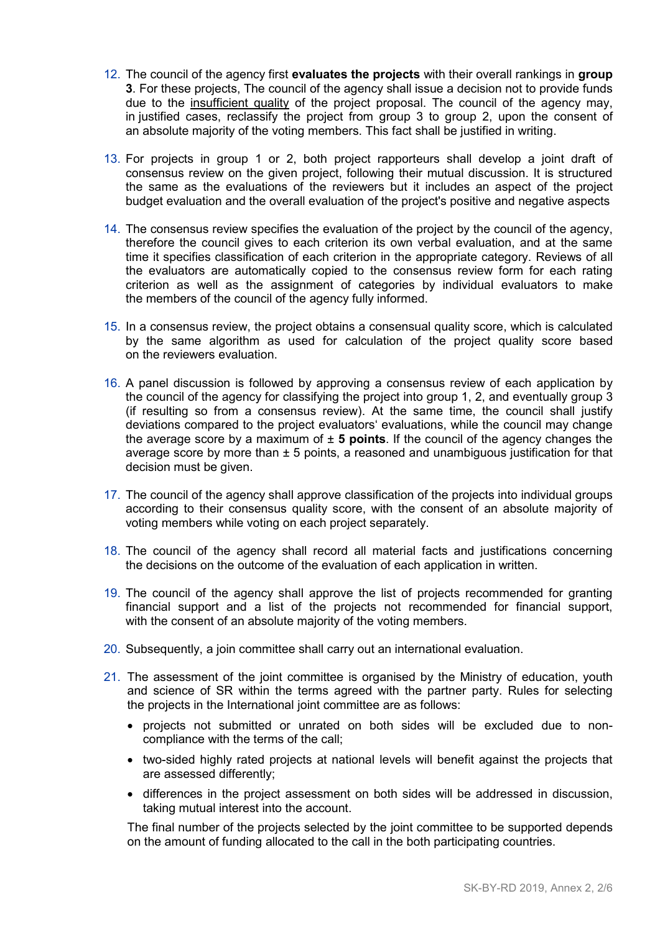- 12. The council of the agency first **evaluates the projects** with their overall rankings in **group 3**. For these projects, The council of the agency shall issue a decision not to provide funds due to the insufficient quality of the project proposal. The council of the agency may, in justified cases, reclassify the project from group 3 to group 2, upon the consent of an absolute majority of the voting members. This fact shall be justified in writing.
- 13. For projects in group 1 or 2, both project rapporteurs shall develop a joint draft of consensus review on the given project, following their mutual discussion. It is structured the same as the evaluations of the reviewers but it includes an aspect of the project budget evaluation and the overall evaluation of the project's positive and negative aspects
- 14. The consensus review specifies the evaluation of the project by the council of the agency, therefore the council gives to each criterion its own verbal evaluation, and at the same time it specifies classification of each criterion in the appropriate category. Reviews of all the evaluators are automatically copied to the consensus review form for each rating criterion as well as the assignment of categories by individual evaluators to make the members of the council of the agency fully informed.
- 15. In a consensus review, the project obtains a consensual quality score, which is calculated by the same algorithm as used for calculation of the project quality score based on the reviewers evaluation.
- 16. A panel discussion is followed by approving a consensus review of each application by the council of the agency for classifying the project into group 1, 2, and eventually group 3 (if resulting so from a consensus review). At the same time, the council shall justify deviations compared to the project evaluators' evaluations, while the council may change the average score by a maximum of  $\pm$  5 points. If the council of the agency changes the average score by more than  $\pm$  5 points, a reasoned and unambiguous justification for that decision must be given.
- 17. The council of the agency shall approve classification of the projects into individual groups according to their consensus quality score, with the consent of an absolute majority of voting members while voting on each project separately.
- 18. The council of the agency shall record all material facts and justifications concerning the decisions on the outcome of the evaluation of each application in written.
- 19. The council of the agency shall approve the list of projects recommended for granting financial support and a list of the projects not recommended for financial support, with the consent of an absolute majority of the voting members.
- 20. Subsequently, a join committee shall carry out an international evaluation.
- 21. The assessment of the joint committee is organised by the Ministry of education, youth and science of SR within the terms agreed with the partner party. Rules for selecting the projects in the International joint committee are as follows:
	- projects not submitted or unrated on both sides will be excluded due to noncompliance with the terms of the call;
	- two-sided highly rated projects at national levels will benefit against the projects that are assessed differently;
	- differences in the project assessment on both sides will be addressed in discussion, taking mutual interest into the account.

The final number of the projects selected by the joint committee to be supported depends on the amount of funding allocated to the call in the both participating countries.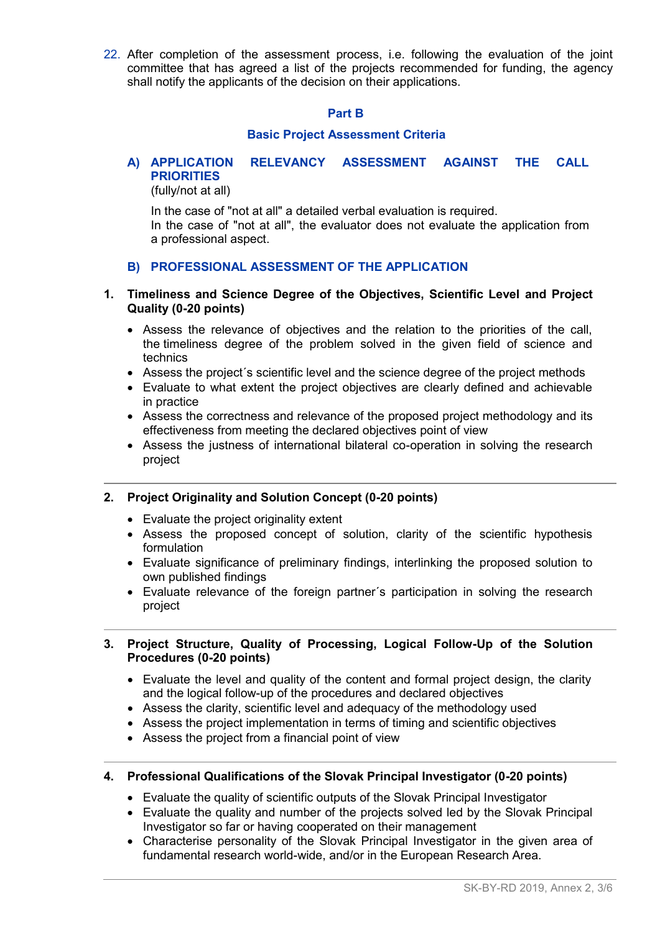22. After completion of the assessment process, i.e. following the evaluation of the joint committee that has agreed a list of the projects recommended for funding, the agency shall notify the applicants of the decision on their applications.

#### **Part B**

## **Basic Project Assessment Criteria**

# **A) APPLICATION RELEVANCY ASSESSMENT AGAINST THE CALL PRIORITIES**

(fully/not at all)

In the case of "not at all" a detailed verbal evaluation is required. In the case of "not at all", the evaluator does not evaluate the application from a professional aspect.

# **B) PROFESSIONAL ASSESSMENT OF THE APPLICATION**

# **1. Timeliness and Science Degree of the Objectives, Scientific Level and Project Quality (0-20 points)**

- Assess the relevance of objectives and the relation to the priorities of the call, the timeliness degree of the problem solved in the given field of science and technics
- Assess the project´s scientific level and the science degree of the project methods
- Evaluate to what extent the project objectives are clearly defined and achievable in practice
- Assess the correctness and relevance of the proposed project methodology and its effectiveness from meeting the declared objectives point of view
- Assess the justness of international bilateral co-operation in solving the research project

# **2. Project Originality and Solution Concept (0-20 points)**

- Evaluate the project originality extent
- Assess the proposed concept of solution, clarity of the scientific hypothesis formulation
- Evaluate significance of preliminary findings, interlinking the proposed solution to own published findings
- Evaluate relevance of the foreign partner´s participation in solving the research project

# **3. Project Structure, Quality of Processing, Logical Follow-Up of the Solution Procedures (0-20 points)**

- Evaluate the level and quality of the content and formal project design, the clarity and the logical follow-up of the procedures and declared objectives
- Assess the clarity, scientific level and adequacy of the methodology used
- Assess the project implementation in terms of timing and scientific objectives
- Assess the project from a financial point of view

# **4. Professional Qualifications of the Slovak Principal Investigator (0-20 points)**

- Evaluate the quality of scientific outputs of the Slovak Principal Investigator
- Evaluate the quality and number of the projects solved led by the Slovak Principal Investigator so far or having cooperated on their management
- Characterise personality of the Slovak Principal Investigator in the given area of fundamental research world-wide, and/or in the European Research Area.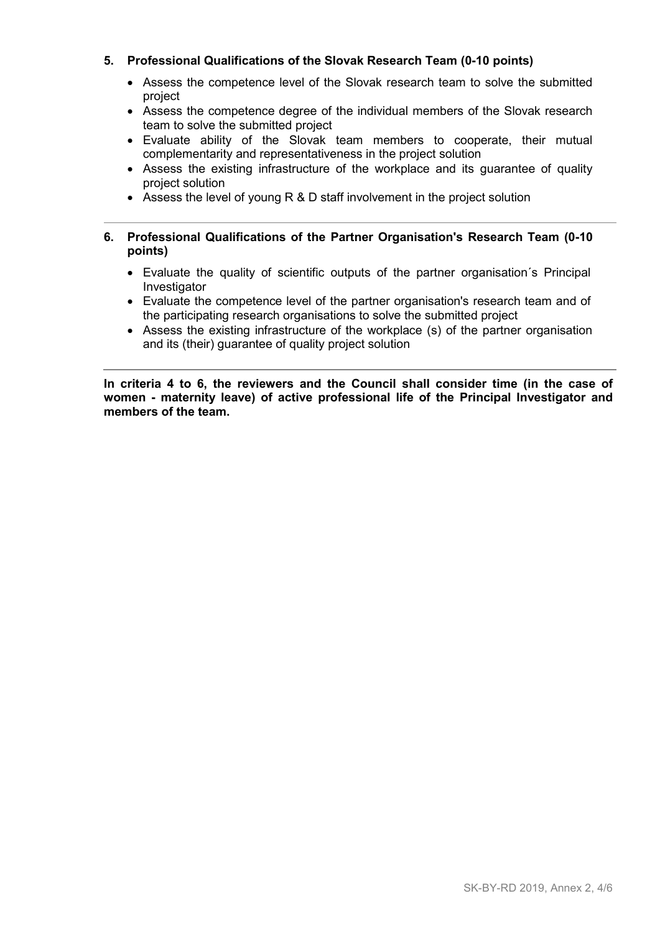# **5. Professional Qualifications of the Slovak Research Team (0-10 points)**

- Assess the competence level of the Slovak research team to solve the submitted project
- Assess the competence degree of the individual members of the Slovak research team to solve the submitted project
- Evaluate ability of the Slovak team members to cooperate, their mutual complementarity and representativeness in the project solution
- Assess the existing infrastructure of the workplace and its quarantee of quality project solution
- Assess the level of young R & D staff involvement in the project solution

# **6. Professional Qualifications of the Partner Organisation's Research Team (0-10 points)**

- Evaluate the quality of scientific outputs of the partner organisation´s Principal Investigator
- Evaluate the competence level of the partner organisation's research team and of the participating research organisations to solve the submitted project
- Assess the existing infrastructure of the workplace (s) of the partner organisation and its (their) guarantee of quality project solution

**In criteria 4 to 6, the reviewers and the Council shall consider time (in the case of women - maternity leave) of active professional life of the Principal Investigator and members of the team.**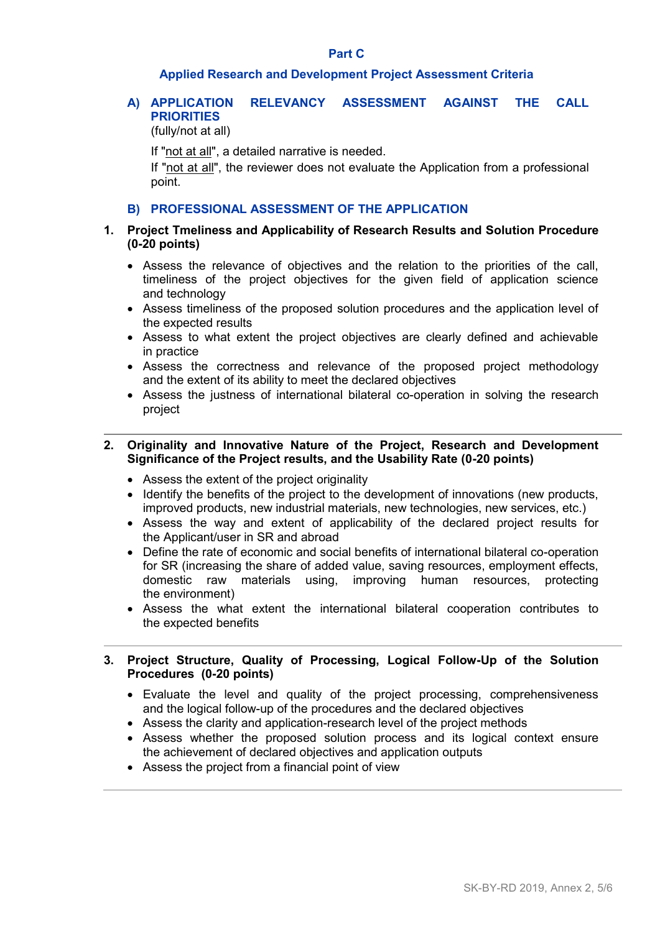#### **Part C**

#### **Applied Research and Development Project Assessment Criteria**

# **A) APPLICATION RELEVANCY ASSESSMENT AGAINST THE CALL PRIORITIES**

(fully/not at all)

If "not at all", a detailed narrative is needed.

If "not at all", the reviewer does not evaluate the Application from a professional point.

# **B) PROFESSIONAL ASSESSMENT OF THE APPLICATION**

## **1. Project Tmeliness and Applicability of Research Results and Solution Procedure (0-20 points)**

- Assess the relevance of objectives and the relation to the priorities of the call, timeliness of the project objectives for the given field of application science and technology
- Assess timeliness of the proposed solution procedures and the application level of the expected results
- Assess to what extent the project objectives are clearly defined and achievable in practice
- Assess the correctness and relevance of the proposed project methodology and the extent of its ability to meet the declared objectives
- Assess the justness of international bilateral co-operation in solving the research project
- **2. Originality and Innovative Nature of the Project, Research and Development Significance of the Project results, and the Usability Rate (0-20 points)**
	- Assess the extent of the project originality
	- Identify the benefits of the project to the development of innovations (new products, improved products, new industrial materials, new technologies, new services, etc.)
	- Assess the way and extent of applicability of the declared project results for the Applicant/user in SR and abroad
	- Define the rate of economic and social benefits of international bilateral co-operation for SR (increasing the share of added value, saving resources, employment effects, domestic raw materials using, improving human resources, protecting the environment)
	- Assess the what extent the international bilateral cooperation contributes to the expected benefits

# **3. Project Structure, Quality of Processing, Logical Follow-Up of the Solution Procedures (0-20 points)**

- Evaluate the level and quality of the project processing, comprehensiveness and the logical follow-up of the procedures and the declared objectives
- Assess the clarity and application-research level of the project methods
- Assess whether the proposed solution process and its logical context ensure the achievement of declared objectives and application outputs
- Assess the project from a financial point of view